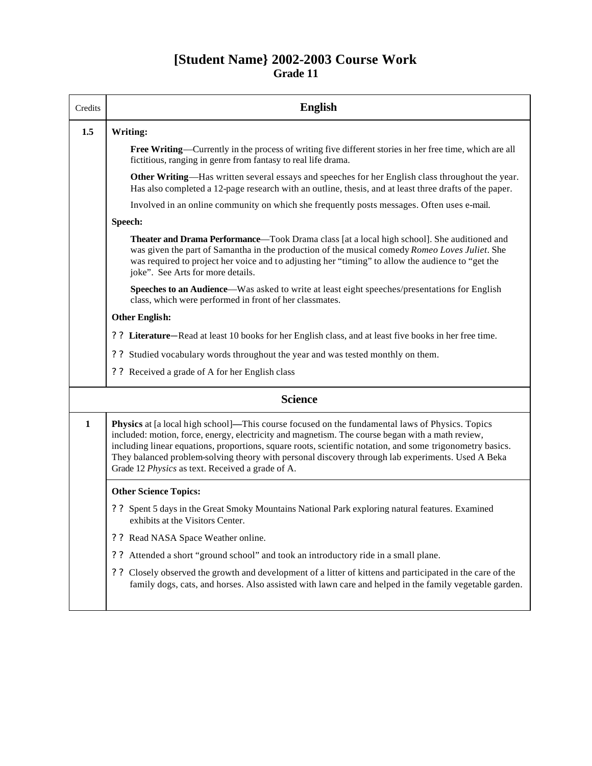## **[Student Name} 2002-2003 Course Work Grade 11**

| Credits      | <b>English</b>                                                                                                                                                                                                                                                                                                                                                                                                                                                                   |
|--------------|----------------------------------------------------------------------------------------------------------------------------------------------------------------------------------------------------------------------------------------------------------------------------------------------------------------------------------------------------------------------------------------------------------------------------------------------------------------------------------|
| 1.5          | Writing:                                                                                                                                                                                                                                                                                                                                                                                                                                                                         |
|              | Free Writing—Currently in the process of writing five different stories in her free time, which are all<br>fictitious, ranging in genre from fantasy to real life drama.                                                                                                                                                                                                                                                                                                         |
|              | Other Writing—Has written several essays and speeches for her English class throughout the year.<br>Has also completed a 12-page research with an outline, thesis, and at least three drafts of the paper.                                                                                                                                                                                                                                                                       |
|              | Involved in an online community on which she frequently posts messages. Often uses e-mail.                                                                                                                                                                                                                                                                                                                                                                                       |
|              | Speech:                                                                                                                                                                                                                                                                                                                                                                                                                                                                          |
|              | <b>Theater and Drama Performance—Took Drama class [at a local high school]. She auditioned and</b><br>was given the part of Samantha in the production of the musical comedy Romeo Loves Juliet. She<br>was required to project her voice and to adjusting her "timing" to allow the audience to "get the<br>joke". See Arts for more details.                                                                                                                                   |
|              | Speeches to an Audience—Was asked to write at least eight speeches/presentations for English<br>class, which were performed in front of her classmates.                                                                                                                                                                                                                                                                                                                          |
|              | <b>Other English:</b>                                                                                                                                                                                                                                                                                                                                                                                                                                                            |
|              | ? ? Literature—Read at least 10 books for her English class, and at least five books in her free time.                                                                                                                                                                                                                                                                                                                                                                           |
|              | ? ? Studied vocabulary words throughout the year and was tested monthly on them.                                                                                                                                                                                                                                                                                                                                                                                                 |
|              | ? ? Received a grade of A for her English class                                                                                                                                                                                                                                                                                                                                                                                                                                  |
|              | <b>Science</b>                                                                                                                                                                                                                                                                                                                                                                                                                                                                   |
| $\mathbf{1}$ | <b>Physics</b> at [a local high school]—This course focused on the fundamental laws of Physics. Topics<br>included: motion, force, energy, electricity and magnetism. The course began with a math review,<br>including linear equations, proportions, square roots, scientific notation, and some trigonometry basics.<br>They balanced problem-solving theory with personal discovery through lab experiments. Used A Beka<br>Grade 12 Physics as text. Received a grade of A. |
|              | <b>Other Science Topics:</b>                                                                                                                                                                                                                                                                                                                                                                                                                                                     |
|              | ? ? Spent 5 days in the Great Smoky Mountains National Park exploring natural features. Examined<br>exhibits at the Visitors Center.                                                                                                                                                                                                                                                                                                                                             |
|              | ? ? Read NASA Space Weather online.                                                                                                                                                                                                                                                                                                                                                                                                                                              |
|              | Attended a short "ground school" and took an introductory ride in a small plane.<br>$?$ ?                                                                                                                                                                                                                                                                                                                                                                                        |
|              | Closely observed the growth and development of a litter of kittens and participated in the care of the<br>??<br>family dogs, cats, and horses. Also assisted with lawn care and helped in the family vegetable garden.                                                                                                                                                                                                                                                           |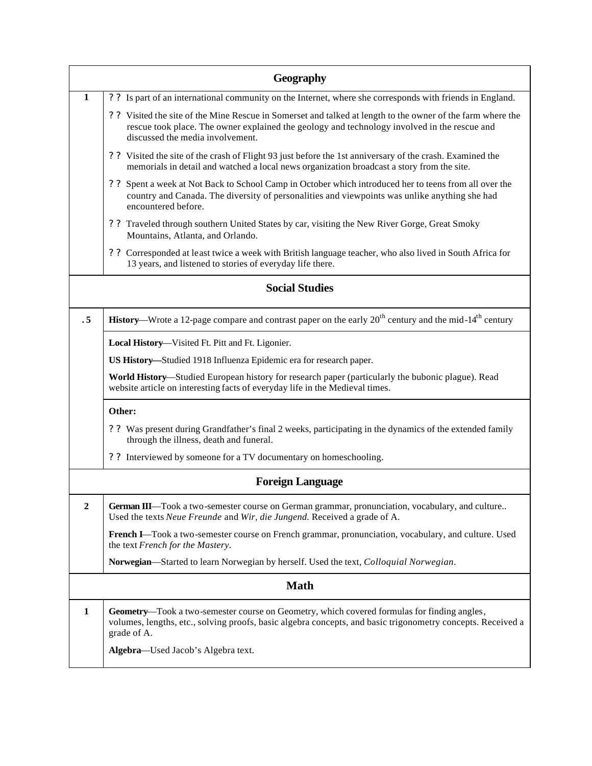| Geography             |                                                                                                                                                                                                                                                 |  |
|-----------------------|-------------------------------------------------------------------------------------------------------------------------------------------------------------------------------------------------------------------------------------------------|--|
| 1                     | ? ? Is part of an international community on the Internet, where she corresponds with friends in England.                                                                                                                                       |  |
|                       | ? ? Visited the site of the Mine Rescue in Somerset and talked at length to the owner of the farm where the<br>rescue took place. The owner explained the geology and technology involved in the rescue and<br>discussed the media involvement. |  |
|                       | ? ? Visited the site of the crash of Flight 93 just before the 1st anniversary of the crash. Examined the<br>memorials in detail and watched a local news organization broadcast a story from the site.                                         |  |
|                       | ? ? Spent a week at Not Back to School Camp in October which introduced her to teens from all over the<br>country and Canada. The diversity of personalities and viewpoints was unlike anything she had<br>encountered before.                  |  |
|                       | ? ? Traveled through southern United States by car, visiting the New River Gorge, Great Smoky<br>Mountains, Atlanta, and Orlando.                                                                                                               |  |
|                       | ? ? Corresponded at least twice a week with British language teacher, who also lived in South Africa for<br>13 years, and listened to stories of everyday life there.                                                                           |  |
| <b>Social Studies</b> |                                                                                                                                                                                                                                                 |  |
| . 5                   | History—Wrote a 12-page compare and contrast paper on the early 20 <sup>th</sup> century and the mid-14 <sup>th</sup> century                                                                                                                   |  |
|                       | Local History-Visited Ft. Pitt and Ft. Ligonier.                                                                                                                                                                                                |  |
|                       | US History—Studied 1918 Influenza Epidemic era for research paper.                                                                                                                                                                              |  |
|                       | World History—Studied European history for research paper (particularly the bubonic plague). Read<br>website article on interesting facts of everyday life in the Medieval times.                                                               |  |
|                       | Other:                                                                                                                                                                                                                                          |  |
|                       | ? ? Was present during Grandfather's final 2 weeks, participating in the dynamics of the extended family<br>through the illness, death and funeral.                                                                                             |  |
|                       | ? ? Interviewed by someone for a TV documentary on homeschooling.                                                                                                                                                                               |  |
|                       | <b>Foreign Language</b>                                                                                                                                                                                                                         |  |
| $\overline{2}$        | German III—Took a two-semester course on German grammar, pronunciation, vocabulary, and culture<br>Used the texts Neue Freunde and Wir, die Jungend. Received a grade of A.                                                                     |  |
|                       | French I—Took a two-semester course on French grammar, pronunciation, vocabulary, and culture. Used<br>the text French for the Mastery.                                                                                                         |  |
|                       | Norwegian—Started to learn Norwegian by herself. Used the text, <i>Colloquial Norwegian</i> .                                                                                                                                                   |  |
| <b>Math</b>           |                                                                                                                                                                                                                                                 |  |
| 1                     | Geometry—Took a two-semester course on Geometry, which covered formulas for finding angles,<br>volumes, lengths, etc., solving proofs, basic algebra concepts, and basic trigonometry concepts. Received a<br>grade of A.                       |  |
|                       | Algebra-Used Jacob's Algebra text.                                                                                                                                                                                                              |  |